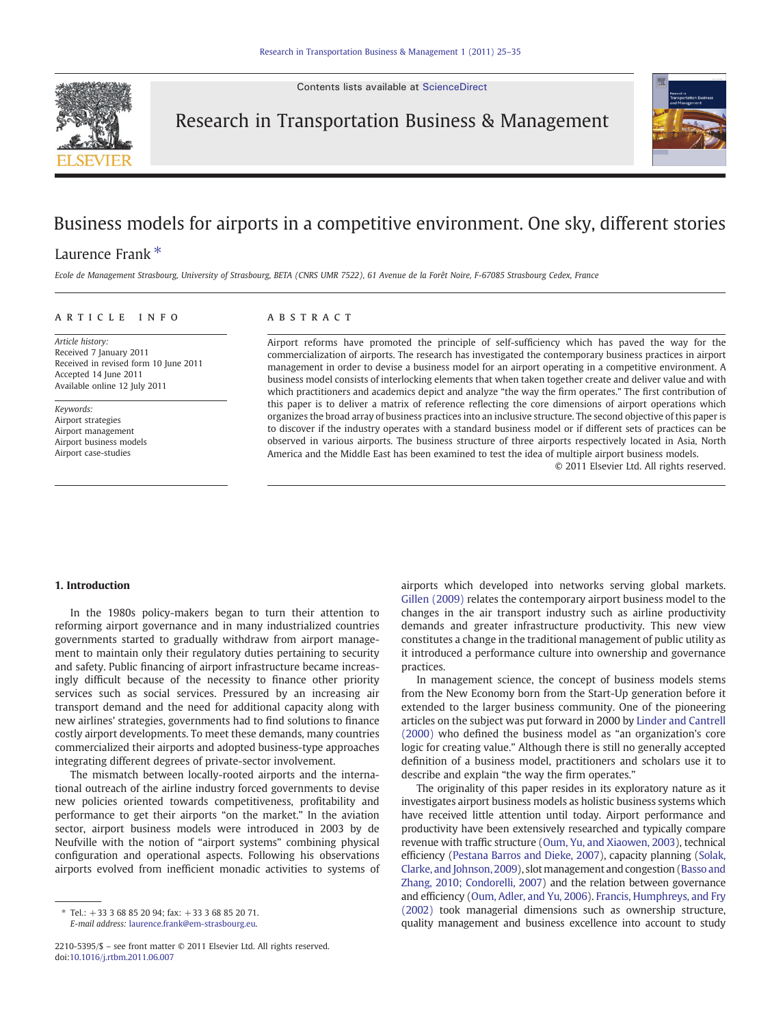Contents lists available at [ScienceDirect](http://www.sciencedirect.com/science/journal/)



Research in Transportation Business & Management

# Business models for airports in a competitive environment. One sky, different stories

## Laurence Frank<sup>\*</sup>

Ecole de Management Strasbourg, University of Strasbourg, BETA (CNRS UMR 7522), 61 Avenue de la Forêt Noire, F-67085 Strasbourg Cedex, France

#### article info abstract

Article history: Received 7 January 2011 Received in revised form 10 June 2011 Accepted 14 June 2011 Available online 12 July 2011

Keywords: Airport strategies Airport management Airport business models Airport case-studies

Airport reforms have promoted the principle of self-sufficiency which has paved the way for the commercialization of airports. The research has investigated the contemporary business practices in airport management in order to devise a business model for an airport operating in a competitive environment. A business model consists of interlocking elements that when taken together create and deliver value and with which practitioners and academics depict and analyze "the way the firm operates." The first contribution of this paper is to deliver a matrix of reference reflecting the core dimensions of airport operations which organizes the broad array of business practices into an inclusive structure. The second objective of this paper is to discover if the industry operates with a standard business model or if different sets of practices can be observed in various airports. The business structure of three airports respectively located in Asia, North America and the Middle East has been examined to test the idea of multiple airport business models.

© 2011 Elsevier Ltd. All rights reserved.

### 1. Introduction

In the 1980s policy-makers began to turn their attention to reforming airport governance and in many industrialized countries governments started to gradually withdraw from airport management to maintain only their regulatory duties pertaining to security and safety. Public financing of airport infrastructure became increasingly difficult because of the necessity to finance other priority services such as social services. Pressured by an increasing air transport demand and the need for additional capacity along with new airlines' strategies, governments had to find solutions to finance costly airport developments. To meet these demands, many countries commercialized their airports and adopted business-type approaches integrating different degrees of private-sector involvement.

The mismatch between locally-rooted airports and the international outreach of the airline industry forced governments to devise new policies oriented towards competitiveness, profitability and performance to get their airports "on the market." In the aviation sector, airport business models were introduced in 2003 by de Neufville with the notion of "airport systems" combining physical configuration and operational aspects. Following his observations airports evolved from inefficient monadic activities to systems of

⁎ Tel.: +33 3 68 85 20 94; fax: +33 3 68 85 20 71. E-mail address: [laurence.frank@em-strasbourg.eu.](mailto:laurence.frank@em-strasbourg.eu)

airports which developed into networks serving global markets. [Gillen \(2009\)](#page--1-0) relates the contemporary airport business model to the changes in the air transport industry such as airline productivity demands and greater infrastructure productivity. This new view constitutes a change in the traditional management of public utility as it introduced a performance culture into ownership and governance practices.

In management science, the concept of business models stems from the New Economy born from the Start-Up generation before it extended to the larger business community. One of the pioneering articles on the subject was put forward in 2000 by [Linder and Cantrell](#page--1-0) [\(2000\)](#page--1-0) who defined the business model as "an organization's core logic for creating value." Although there is still no generally accepted definition of a business model, practitioners and scholars use it to describe and explain "the way the firm operates."

The originality of this paper resides in its exploratory nature as it investigates airport business models as holistic business systems which have received little attention until today. Airport performance and productivity have been extensively researched and typically compare revenue with traffic structure [\(Oum, Yu, and Xiaowen, 2003](#page--1-0)), technical efficiency [\(Pestana Barros and Dieke, 2007\)](#page--1-0), capacity planning ([Solak,](#page--1-0) [Clarke, and Johnson, 2009](#page--1-0)), slot management and congestion [\(Basso and](#page--1-0) [Zhang, 2010; Condorelli, 2007](#page--1-0)) and the relation between governance and efficiency ([Oum, Adler, and Yu, 2006](#page--1-0)). [Francis, Humphreys, and Fry](#page--1-0) [\(2002\)](#page--1-0) took managerial dimensions such as ownership structure, quality management and business excellence into account to study

<sup>2210-5395/\$</sup> – see front matter © 2011 Elsevier Ltd. All rights reserved. doi:[10.1016/j.rtbm.2011.06.007](http://dx.doi.org/10.1016/j.rtbm.2011.06.007)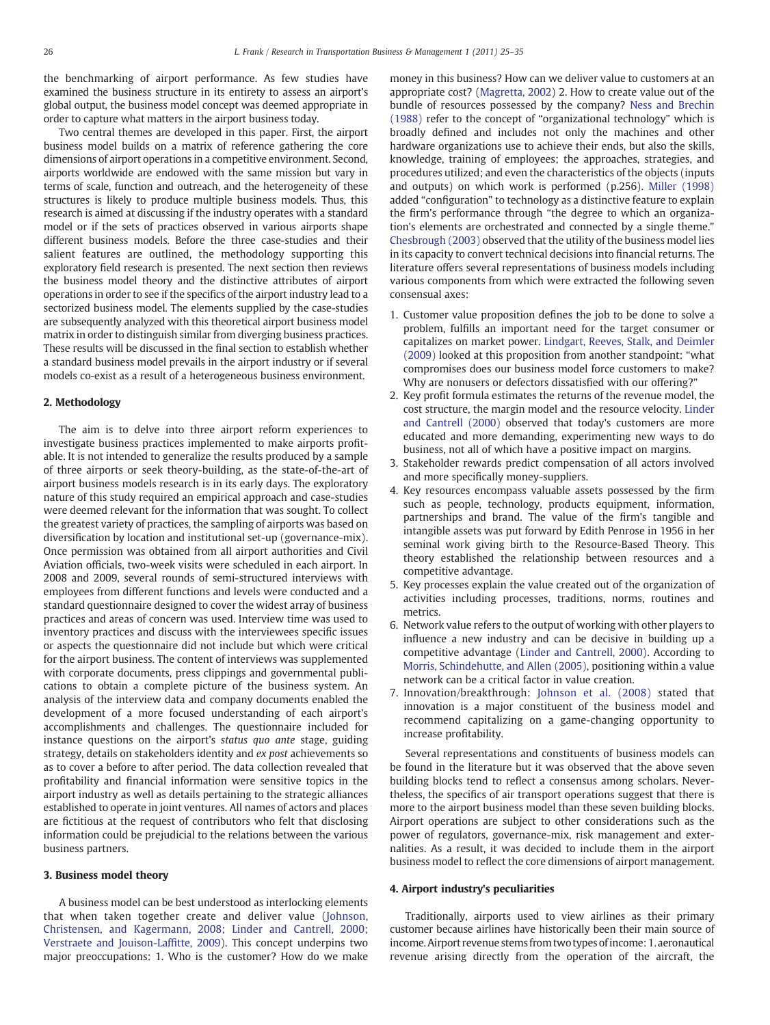the benchmarking of airport performance. As few studies have examined the business structure in its entirety to assess an airport's global output, the business model concept was deemed appropriate in order to capture what matters in the airport business today.

Two central themes are developed in this paper. First, the airport business model builds on a matrix of reference gathering the core dimensions of airport operations in a competitive environment. Second, airports worldwide are endowed with the same mission but vary in terms of scale, function and outreach, and the heterogeneity of these structures is likely to produce multiple business models. Thus, this research is aimed at discussing if the industry operates with a standard model or if the sets of practices observed in various airports shape different business models. Before the three case-studies and their salient features are outlined, the methodology supporting this exploratory field research is presented. The next section then reviews the business model theory and the distinctive attributes of airport operations in order to see if the specifics of the airport industry lead to a sectorized business model. The elements supplied by the case-studies are subsequently analyzed with this theoretical airport business model matrix in order to distinguish similar from diverging business practices. These results will be discussed in the final section to establish whether a standard business model prevails in the airport industry or if several models co-exist as a result of a heterogeneous business environment.

#### 2. Methodology

The aim is to delve into three airport reform experiences to investigate business practices implemented to make airports profitable. It is not intended to generalize the results produced by a sample of three airports or seek theory-building, as the state-of-the-art of airport business models research is in its early days. The exploratory nature of this study required an empirical approach and case-studies were deemed relevant for the information that was sought. To collect the greatest variety of practices, the sampling of airports was based on diversification by location and institutional set-up (governance-mix). Once permission was obtained from all airport authorities and Civil Aviation officials, two-week visits were scheduled in each airport. In 2008 and 2009, several rounds of semi-structured interviews with employees from different functions and levels were conducted and a standard questionnaire designed to cover the widest array of business practices and areas of concern was used. Interview time was used to inventory practices and discuss with the interviewees specific issues or aspects the questionnaire did not include but which were critical for the airport business. The content of interviews was supplemented with corporate documents, press clippings and governmental publications to obtain a complete picture of the business system. An analysis of the interview data and company documents enabled the development of a more focused understanding of each airport's accomplishments and challenges. The questionnaire included for instance questions on the airport's status quo ante stage, guiding strategy, details on stakeholders identity and ex post achievements so as to cover a before to after period. The data collection revealed that profitability and financial information were sensitive topics in the airport industry as well as details pertaining to the strategic alliances established to operate in joint ventures. All names of actors and places are fictitious at the request of contributors who felt that disclosing information could be prejudicial to the relations between the various business partners.

### 3. Business model theory

A business model can be best understood as interlocking elements that when taken together create and deliver value ([Johnson,](#page--1-0) [Christensen, and Kagermann, 2008; Linder and Cantrell, 2000;](#page--1-0) [Verstraete and Jouison-Laf](#page--1-0)fitte, 2009). This concept underpins two major preoccupations: 1. Who is the customer? How do we make

money in this business? How can we deliver value to customers at an appropriate cost? [\(Magretta, 2002\)](#page--1-0) 2. How to create value out of the bundle of resources possessed by the company? [Ness and Brechin](#page--1-0) [\(1988\)](#page--1-0) refer to the concept of "organizational technology" which is broadly defined and includes not only the machines and other hardware organizations use to achieve their ends, but also the skills, knowledge, training of employees; the approaches, strategies, and procedures utilized; and even the characteristics of the objects (inputs and outputs) on which work is performed (p.256). [Miller \(1998\)](#page--1-0) added "configuration" to technology as a distinctive feature to explain the firm's performance through "the degree to which an organization's elements are orchestrated and connected by a single theme." [Chesbrough \(2003\)](#page--1-0) observed that the utility of the business model lies in its capacity to convert technical decisions into financial returns. The literature offers several representations of business models including various components from which were extracted the following seven consensual axes:

- 1. Customer value proposition defines the job to be done to solve a problem, fulfills an important need for the target consumer or capitalizes on market power. [Lindgart, Reeves, Stalk, and Deimler](#page--1-0) [\(2009\)](#page--1-0) looked at this proposition from another standpoint: "what compromises does our business model force customers to make? Why are nonusers or defectors dissatisfied with our offering?"
- 2. Key profit formula estimates the returns of the revenue model, the cost structure, the margin model and the resource velocity. [Linder](#page--1-0) [and Cantrell \(2000\)](#page--1-0) observed that today's customers are more educated and more demanding, experimenting new ways to do business, not all of which have a positive impact on margins.
- 3. Stakeholder rewards predict compensation of all actors involved and more specifically money-suppliers.
- 4. Key resources encompass valuable assets possessed by the firm such as people, technology, products equipment, information, partnerships and brand. The value of the firm's tangible and intangible assets was put forward by Edith Penrose in 1956 in her seminal work giving birth to the Resource-Based Theory. This theory established the relationship between resources and a competitive advantage.
- 5. Key processes explain the value created out of the organization of activities including processes, traditions, norms, routines and metrics.
- 6. Network value refers to the output of working with other players to influence a new industry and can be decisive in building up a competitive advantage ([Linder and Cantrell, 2000](#page--1-0)). According to [Morris, Schindehutte, and Allen \(2005\),](#page--1-0) positioning within a value network can be a critical factor in value creation.
- 7. Innovation/breakthrough: [Johnson et al. \(2008\)](#page--1-0) stated that innovation is a major constituent of the business model and recommend capitalizing on a game-changing opportunity to increase profitability.

Several representations and constituents of business models can be found in the literature but it was observed that the above seven building blocks tend to reflect a consensus among scholars. Nevertheless, the specifics of air transport operations suggest that there is more to the airport business model than these seven building blocks. Airport operations are subject to other considerations such as the power of regulators, governance-mix, risk management and externalities. As a result, it was decided to include them in the airport business model to reflect the core dimensions of airport management.

### 4. Airport industry's peculiarities

Traditionally, airports used to view airlines as their primary customer because airlines have historically been their main source of income. Airport revenue stems from two types ofincome: 1. aeronautical revenue arising directly from the operation of the aircraft, the